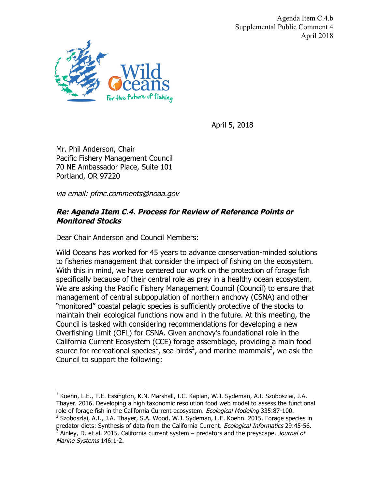Agenda Item C.4.b Supplemental Public Comment 4 April 2018



April 5, 2018

Mr. Phil Anderson, Chair Pacific Fishery Management Council 70 NE Ambassador Place, Suite 101 Portland, OR 97220

via email: pfmc.comments@noaa.gov

## **Re: Agenda Item C.4. Process for Review of Reference Points or Monitored Stocks**

Dear Chair Anderson and Council Members:

Wild Oceans has worked for 45 years to advance conservation-minded solutions to fisheries management that consider the impact of fishing on the ecosystem. With this in mind, we have centered our work on the protection of forage fish specifically because of their central role as prey in a healthy ocean ecosystem. We are asking the Pacific Fishery Management Council (Council) to ensure that management of central subpopulation of northern anchovy (CSNA) and other "monitored" coastal pelagic species is sufficiently protective of the stocks to maintain their ecological functions now and in the future. At this meeting, the Council is tasked with considering recommendations for developing a new Overfishing Limit (OFL) for CSNA. Given anchovy's foundational role in the California Current Ecosystem (CCE) forage assemblage, providing a main food source for recreational species<sup>1</sup>, sea birds<sup>2</sup>, and marine mammals<sup>3</sup>, we ask the Council to support the following:

 <sup>1</sup> Koehn, L.E., T.E. Essington, K.N. Marshall, I.C. Kaplan, W.J. Sydeman, A.I. Szoboszlai, J.A. Thayer. 2016. Developing a high taxonomic resolution food web model to assess the functional role of forage fish in the California Current ecosystem. Ecological Modeling 335:87-100.

 $<sup>2</sup>$  Szoboszlai, A.I., J.A. Thayer, S.A. Wood, W.J. Sydeman, L.E. Koehn. 2015. Forage species in</sup> predator diets: Synthesis of data from the California Current. Ecological Informatics 29:45-56.  $3$  Ainley, D. et al. 2015. California current system  $-$  predators and the preyscape. *Journal of* Marine Systems 146:1-2.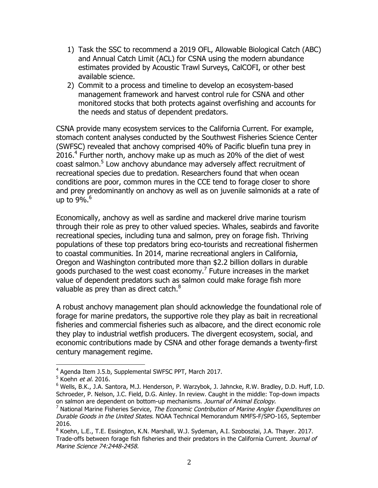- 1) Task the SSC to recommend a 2019 OFL, Allowable Biological Catch (ABC) and Annual Catch Limit (ACL) for CSNA using the modern abundance estimates provided by Acoustic Trawl Surveys, CalCOFI, or other best available science.
- 2) Commit to a process and timeline to develop an ecosystem-based management framework and harvest control rule for CSNA and other monitored stocks that both protects against overfishing and accounts for the needs and status of dependent predators.

CSNA provide many ecosystem services to the California Current. For example, stomach content analyses conducted by the Southwest Fisheries Science Center (SWFSC) revealed that anchovy comprised 40% of Pacific bluefin tuna prey in 2016.4 Further north, anchovy make up as much as 20% of the diet of west coast salmon.<sup>5</sup> Low anchovy abundance may adversely affect recruitment of recreational species due to predation. Researchers found that when ocean conditions are poor, common mures in the CCE tend to forage closer to shore and prey predominantly on anchovy as well as on juvenile salmonids at a rate of up to  $9\%$ .<sup>6</sup>

Economically, anchovy as well as sardine and mackerel drive marine tourism through their role as prey to other valued species. Whales, seabirds and favorite recreational species, including tuna and salmon, prey on forage fish. Thriving populations of these top predators bring eco-tourists and recreational fishermen to coastal communities. In 2014, marine recreational anglers in California, Oregon and Washington contributed more than \$2.2 billion dollars in durable goods purchased to the west coast economy.<sup>7</sup> Future increases in the market value of dependent predators such as salmon could make forage fish more valuable as prey than as direct catch.<sup>8</sup>

A robust anchovy management plan should acknowledge the foundational role of forage for marine predators, the supportive role they play as bait in recreational fisheries and commercial fisheries such as albacore, and the direct economic role they play to industrial wetfish producers. The divergent ecosystem, social, and economic contributions made by CSNA and other forage demands a twenty-first century management regime.

 <sup>4</sup> Agenda Item J.5.b, Supplemental SWFSC PPT, March 2017.

 $<sup>5</sup>$  Koehn *et al.* 2016.</sup>

<sup>6</sup> Wells, B.K., J.A. Santora, M.J. Henderson, P. Warzybok, J. Jahncke, R.W. Bradley, D.D. Huff, I.D. Schroeder, P. Nelson, J.C. Field, D.G. Ainley. In review. Caught in the middle: Top-down impacts on salmon are dependent on bottom-up mechanisms. Journal of Animal Ecology.<br><sup>7</sup> National Marine Fisheries Service, The Economic Contribution of Marine Angler Expenditures on

Durable Goods in the United States. NOAA Technical Memorandum NMFS-F/SPO-165, September 2016.

<sup>8</sup> Koehn, L.E., T.E. Essington, K.N. Marshall, W.J. Sydeman, A.I. Szoboszlai, J.A. Thayer. 2017. Trade-offs between forage fish fisheries and their predators in the California Current. Journal of Marine Science 74:2448-2458.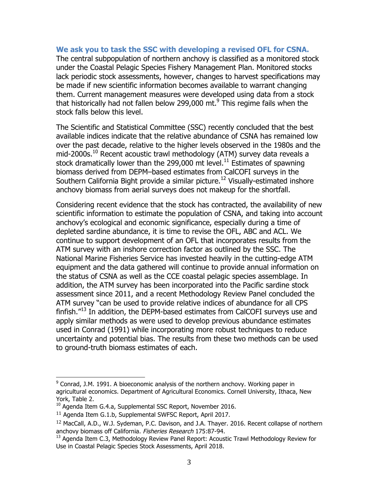## **We ask you to task the SSC with developing a revised OFL for CSNA.**

The central subpopulation of northern anchovy is classified as a monitored stock under the Coastal Pelagic Species Fishery Management Plan. Monitored stocks lack periodic stock assessments, however, changes to harvest specifications may be made if new scientific information becomes available to warrant changing them. Current management measures were developed using data from a stock that historically had not fallen below 299,000 mt. $<sup>9</sup>$  This regime fails when the</sup> stock falls below this level.

The Scientific and Statistical Committee (SSC) recently concluded that the best available indices indicate that the relative abundance of CSNA has remained low over the past decade, relative to the higher levels observed in the 1980s and the mid-2000s.<sup>10</sup> Recent acoustic trawl methodology (ATM) survey data reveals a stock dramatically lower than the 299,000 mt level. $^{11}$  Estimates of spawning biomass derived from DEPM–based estimates from CalCOFI surveys in the Southern California Bight provide a similar picture.<sup>12</sup> Visually-estimated inshore anchovy biomass from aerial surveys does not makeup for the shortfall.

Considering recent evidence that the stock has contracted, the availability of new scientific information to estimate the population of CSNA, and taking into account anchovy's ecological and economic significance, especially during a time of depleted sardine abundance, it is time to revise the OFL, ABC and ACL. We continue to support development of an OFL that incorporates results from the ATM survey with an inshore correction factor as outlined by the SSC. The National Marine Fisheries Service has invested heavily in the cutting-edge ATM equipment and the data gathered will continue to provide annual information on the status of CSNA as well as the CCE coastal pelagic species assemblage. In addition, the ATM survey has been incorporated into the Pacific sardine stock assessment since 2011, and a recent Methodology Review Panel concluded the ATM survey "can be used to provide relative indices of abundance for all CPS finfish. $^{\prime\prime13}$  In addition, the DEPM-based estimates from CalCOFI surveys use and apply similar methods as were used to develop previous abundance estimates used in Conrad (1991) while incorporating more robust techniques to reduce uncertainty and potential bias. The results from these two methods can be used to ground-truth biomass estimates of each.

 

<sup>9</sup> Conrad, J.M. 1991. A bioeconomic analysis of the northern anchovy. Working paper in agricultural economics. Department of Agricultural Economics. Cornell University, Ithaca, New York, Table 2.<br><sup>10</sup> Agenda Item G.4.a, Supplemental SSC Report, November 2016.

<sup>11</sup> Agenda Item G.1.b, Supplemental SWFSC Report, April 2017.

<sup>&</sup>lt;sup>12</sup> MacCall, A.D., W.J. Sydeman, P.C. Davison, and J.A. Thayer. 2016. Recent collapse of northern anchovy biomass off California. Fisheries Research 175:87-94.

 $13$  Agenda Item C.3, Methodology Review Panel Report: Acoustic Trawl Methodology Review for Use in Coastal Pelagic Species Stock Assessments, April 2018.